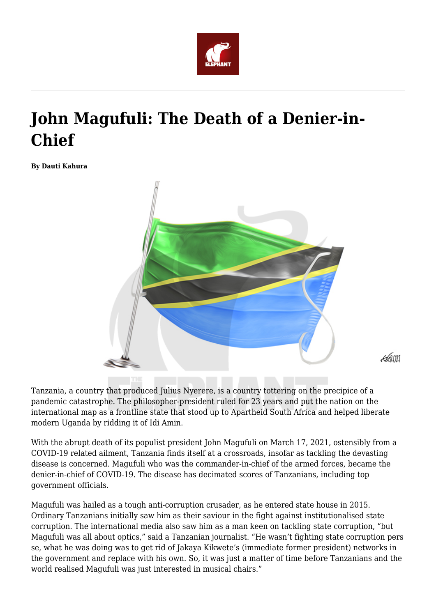

## **John Magufuli: The Death of a Denier-in-Chief**

**By Dauti Kahura**



Tanzania, a country that produced Julius Nyerere, is a country tottering on the precipice of a pandemic catastrophe. The philosopher-president ruled for 23 years and put the nation on the international map as a frontline state that stood up to Apartheid South Africa and helped liberate modern Uganda by ridding it of Idi Amin.

With the abrupt death of its populist president John Magufuli on March 17, 2021, ostensibly from a COVID-19 related ailment, Tanzania finds itself at a crossroads, insofar as tackling the devasting disease is concerned. Magufuli who was the commander-in-chief of the armed forces, became the denier-in-chief of COVID-19. The disease has decimated scores of Tanzanians, including top government officials.

Magufuli was hailed as a tough anti-corruption crusader, as he entered state house in 2015. Ordinary Tanzanians initially saw him as their saviour in the fight against institutionalised state corruption. The international media also saw him as a man keen on tackling state corruption, "but Magufuli was all about optics," said a Tanzanian journalist. "He wasn't fighting state corruption pers se, what he was doing was to get rid of Jakaya Kikwete's (immediate former president) networks in the government and replace with his own. So, it was just a matter of time before Tanzanians and the world realised Magufuli was just interested in musical chairs."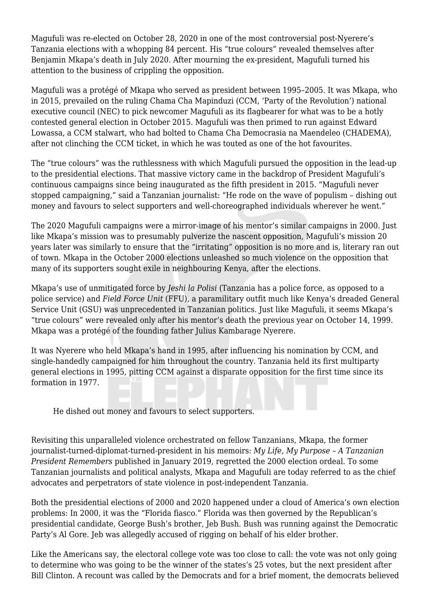Magufuli was re-elected on October 28, 2020 in one of the most controversial post-Nyerere's Tanzania elections with a whopping 84 percent. His "true colours" revealed themselves after Benjamin Mkapa's death in July 2020. After mourning the ex-president, Magufuli turned his attention to the business of crippling the opposition.

Magufuli was a protégé of Mkapa who served as president between 1995–2005. It was Mkapa, who in 2015, prevailed on the ruling Chama Cha Mapinduzi (CCM, 'Party of the Revolution') national executive council (NEC) to pick newcomer Magufuli as its flagbearer for what was to be a hotly contested general election in October 2015. Magufuli was then primed to run against Edward Lowassa, a CCM stalwart, who had bolted to Chama Cha Democrasia na Maendeleo (CHADEMA), after not clinching the CCM ticket, in which he was touted as one of the hot favourites.

The "true colours" was the ruthlessness with which Magufuli pursued the opposition in the lead-up to the presidential elections. That massive victory came in the backdrop of President Magufuli's continuous campaigns since being inaugurated as the fifth president in 2015. "Magufuli never stopped campaigning," said a Tanzanian journalist: "He rode on the wave of populism – dishing out money and favours to select supporters and well-choreographed individuals wherever he went."

The 2020 Magufuli campaigns were a mirror-image of his mentor's similar campaigns in 2000. Just like Mkapa's mission was to presumably pulverize the nascent opposition, Magufuli's mission 20 years later was similarly to ensure that the "irritating" opposition is no more and is, literary ran out of town. Mkapa in the October 2000 elections unleashed so much violence on the opposition that many of its supporters sought exile in neighbouring Kenya, after the elections.

Mkapa's use of unmitigated force by *Jeshi la Polisi* (Tanzania has a police force, as opposed to a police service) and *Field Force Unit* (FFU), a paramilitary outfit much like Kenya's dreaded General Service Unit (GSU) was unprecedented in Tanzanian politics. Just like Magufuli, it seems Mkapa's "true colours" were revealed only after his mentor's death the previous year on October 14, 1999. Mkapa was a protégé of the founding father Julius Kambarage Nyerere.

It was Nyerere who held Mkapa's hand in 1995, after influencing his nomination by CCM, and single-handedly campaigned for him throughout the country. Tanzania held its first multiparty general elections in 1995, pitting CCM against a disparate opposition for the first time since its formation in 1977.

He dished out money and favours to select supporters.

Revisiting this unparalleled violence orchestrated on fellow Tanzanians, Mkapa, the former journalist-turned-diplomat-turned-president in his memoirs: *My Life, My Purpose – A Tanzanian President Remembers* published in January 2019, regretted the 2000 election ordeal. To some Tanzanian journalists and political analysts, Mkapa and Magufuli are today referred to as the chief advocates and perpetrators of state violence in post-independent Tanzania.

Both the presidential elections of 2000 and 2020 happened under a cloud of America's own election problems: In 2000, it was the "Florida fiasco." Florida was then governed by the Republican's presidential candidate, George Bush's brother, Jeb Bush. Bush was running against the Democratic Party's Al Gore. Jeb was allegedly accused of rigging on behalf of his elder brother.

Like the Americans say, the electoral college vote was too close to call: the vote was not only going to determine who was going to be the winner of the states's 25 votes, but the next president after Bill Clinton. A recount was called by the Democrats and for a brief moment, the democrats believed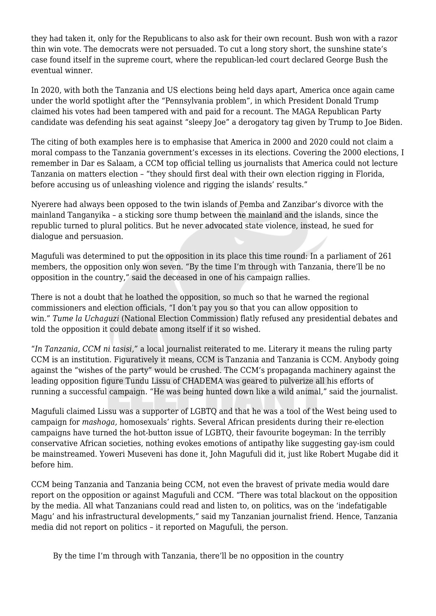they had taken it, only for the Republicans to also ask for their own recount. Bush won with a razor thin win vote. The democrats were not persuaded. To cut a long story short, the sunshine state's case found itself in the supreme court, where the republican-led court declared George Bush the eventual winner.

In 2020, with both the Tanzania and US elections being held days apart, America once again came under the world spotlight after the "Pennsylvania problem", in which President Donald Trump claimed his votes had been tampered with and paid for a recount. The MAGA Republican Party candidate was defending his seat against "sleepy Joe" a derogatory tag given by Trump to Joe Biden.

The citing of both examples here is to emphasise that America in 2000 and 2020 could not claim a moral compass to the Tanzania government's excesses in its elections. Covering the 2000 elections, I remember in Dar es Salaam, a CCM top official telling us journalists that America could not lecture Tanzania on matters election – "they should first deal with their own election rigging in Florida, before accusing us of unleashing violence and rigging the islands' results."

Nyerere had always been opposed to the twin islands of Pemba and Zanzibar's divorce with the mainland Tanganyika – a sticking sore thump between the mainland and the islands, since the republic turned to plural politics. But he never advocated state violence, instead, he sued for dialogue and persuasion.

Magufuli was determined to put the opposition in its place this time round: In a parliament of 261 members, the opposition only won seven. "By the time I'm through with Tanzania, there'll be no opposition in the country," said the deceased in one of his campaign rallies.

There is not a doubt that he loathed the opposition, so much so that he warned the regional commissioners and election officials, "I don't pay you so that you can allow opposition to win." *Tume la Uchaguzi* (National Election Commission) flatly refused any presidential debates and told the opposition it could debate among itself if it so wished.

"*In Tanzania, CCM ni tasisi,"* a local journalist reiterated to me. Literary it means the ruling party CCM is an institution. Figuratively it means, CCM is Tanzania and Tanzania is CCM. Anybody going against the "wishes of the party" would be crushed. The CCM's propaganda machinery against the leading opposition figure Tundu Lissu of CHADEMA was geared to pulverize all his efforts of running a successful campaign. "He was being hunted down like a wild animal," said the journalist.

Magufuli claimed Lissu was a supporter of LGBTQ and that he was a tool of the West being used to campaign for *mashoga,* homosexuals' rights. Several African presidents during their re-election campaigns have turned the hot-button issue of LGBTQ, their favourite bogeyman: In the terribly conservative African societies, nothing evokes emotions of antipathy like suggesting gay-ism could be mainstreamed. Yoweri Museveni has done it, John Magufuli did it, just like Robert Mugabe did it before him.

CCM being Tanzania and Tanzania being CCM, not even the bravest of private media would dare report on the opposition or against Magufuli and CCM. "There was total blackout on the opposition by the media. All what Tanzanians could read and listen to, on politics, was on the 'indefatigable Magu' and his infrastructural developments," said my Tanzanian journalist friend. Hence, Tanzania media did not report on politics – it reported on Magufuli, the person.

By the time I'm through with Tanzania, there'll be no opposition in the country